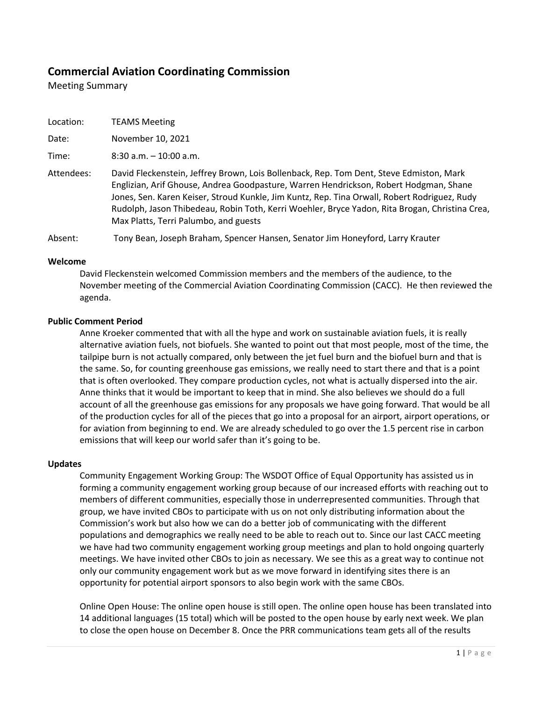# **Commercial Aviation Coordinating Commission**

Meeting Summary

| Location: |
|-----------|
|           |

Date: November 10, 2021

Time: 8:30 a.m. – 10:00 a.m.

Attendees: David Fleckenstein, Jeffrey Brown, Lois Bollenback, Rep. Tom Dent, Steve Edmiston, Mark Englizian, Arif Ghouse, Andrea Goodpasture, Warren Hendrickson, Robert Hodgman, Shane Jones, Sen. Karen Keiser, Stroud Kunkle, Jim Kuntz, Rep. Tina Orwall, Robert Rodriguez, Rudy Rudolph, Jason Thibedeau, Robin Toth, Kerri Woehler, Bryce Yadon, Rita Brogan, Christina Crea, Max Platts, Terri Palumbo, and guests

Absent: Tony Bean, Joseph Braham, Spencer Hansen, Senator Jim Honeyford, Larry Krauter

#### **Welcome**

David Fleckenstein welcomed Commission members and the members of the audience, to the November meeting of the Commercial Aviation Coordinating Commission (CACC). He then reviewed the agenda.

## **Public Comment Period**

Anne Kroeker commented that with all the hype and work on sustainable aviation fuels, it is really alternative aviation fuels, not biofuels. She wanted to point out that most people, most of the time, the tailpipe burn is not actually compared, only between the jet fuel burn and the biofuel burn and that is the same. So, for counting greenhouse gas emissions, we really need to start there and that is a point that is often overlooked. They compare production cycles, not what is actually dispersed into the air. Anne thinks that it would be important to keep that in mind. She also believes we should do a full account of all the greenhouse gas emissions for any proposals we have going forward. That would be all of the production cycles for all of the pieces that go into a proposal for an airport, airport operations, or for aviation from beginning to end. We are already scheduled to go over the 1.5 percent rise in carbon emissions that will keep our world safer than it's going to be.

#### **Updates**

Community Engagement Working Group: The WSDOT Office of Equal Opportunity has assisted us in forming a community engagement working group because of our increased efforts with reaching out to members of different communities, especially those in underrepresented communities. Through that group, we have invited CBOs to participate with us on not only distributing information about the Commission's work but also how we can do a better job of communicating with the different populations and demographics we really need to be able to reach out to. Since our last CACC meeting we have had two community engagement working group meetings and plan to hold ongoing quarterly meetings. We have invited other CBOs to join as necessary. We see this as a great way to continue not only our community engagement work but as we move forward in identifying sites there is an opportunity for potential airport sponsors to also begin work with the same CBOs.

Online Open House: The online open house is still open. The online open house has been translated into 14 additional languages (15 total) which will be posted to the open house by early next week. We plan to close the open house on December 8. Once the PRR communications team gets all of the results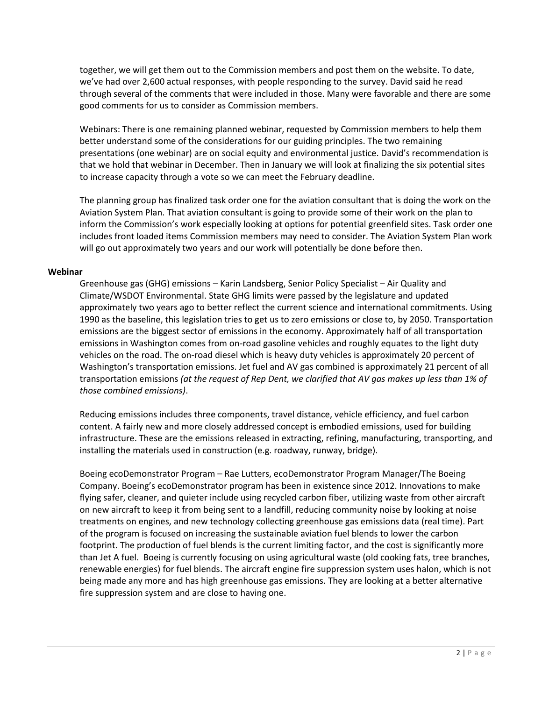together, we will get them out to the Commission members and post them on the website. To date, we've had over 2,600 actual responses, with people responding to the survey. David said he read through several of the comments that were included in those. Many were favorable and there are some good comments for us to consider as Commission members.

Webinars: There is one remaining planned webinar, requested by Commission members to help them better understand some of the considerations for our guiding principles. The two remaining presentations (one webinar) are on social equity and environmental justice. David's recommendation is that we hold that webinar in December. Then in January we will look at finalizing the six potential sites to increase capacity through a vote so we can meet the February deadline.

The planning group has finalized task order one for the aviation consultant that is doing the work on the Aviation System Plan. That aviation consultant is going to provide some of their work on the plan to inform the Commission's work especially looking at options for potential greenfield sites. Task order one includes front loaded items Commission members may need to consider. The Aviation System Plan work will go out approximately two years and our work will potentially be done before then.

## **Webinar**

Greenhouse gas (GHG) emissions – Karin Landsberg, Senior Policy Specialist – Air Quality and Climate/WSDOT Environmental. State GHG limits were passed by the legislature and updated approximately two years ago to better reflect the current science and international commitments. Using 1990 as the baseline, this legislation tries to get us to zero emissions or close to, by 2050. Transportation emissions are the biggest sector of emissions in the economy. Approximately half of all transportation emissions in Washington comes from on-road gasoline vehicles and roughly equates to the light duty vehicles on the road. The on-road diesel which is heavy duty vehicles is approximately 20 percent of Washington's transportation emissions. Jet fuel and AV gas combined is approximately 21 percent of all transportation emissions *(at the request of Rep Dent, we clarified that AV gas makes up less than 1% of those combined emissions)*.

Reducing emissions includes three components, travel distance, vehicle efficiency, and fuel carbon content. A fairly new and more closely addressed concept is embodied emissions, used for building infrastructure. These are the emissions released in extracting, refining, manufacturing, transporting, and installing the materials used in construction (e.g. roadway, runway, bridge).

Boeing ecoDemonstrator Program – Rae Lutters, ecoDemonstrator Program Manager/The Boeing Company. Boeing's ecoDemonstrator program has been in existence since 2012. Innovations to make flying safer, cleaner, and quieter include using recycled carbon fiber, utilizing waste from other aircraft on new aircraft to keep it from being sent to a landfill, reducing community noise by looking at noise treatments on engines, and new technology collecting greenhouse gas emissions data (real time). Part of the program is focused on increasing the sustainable aviation fuel blends to lower the carbon footprint. The production of fuel blends is the current limiting factor, and the cost is significantly more than Jet A fuel. Boeing is currently focusing on using agricultural waste (old cooking fats, tree branches, renewable energies) for fuel blends. The aircraft engine fire suppression system uses halon, which is not being made any more and has high greenhouse gas emissions. They are looking at a better alternative fire suppression system and are close to having one.